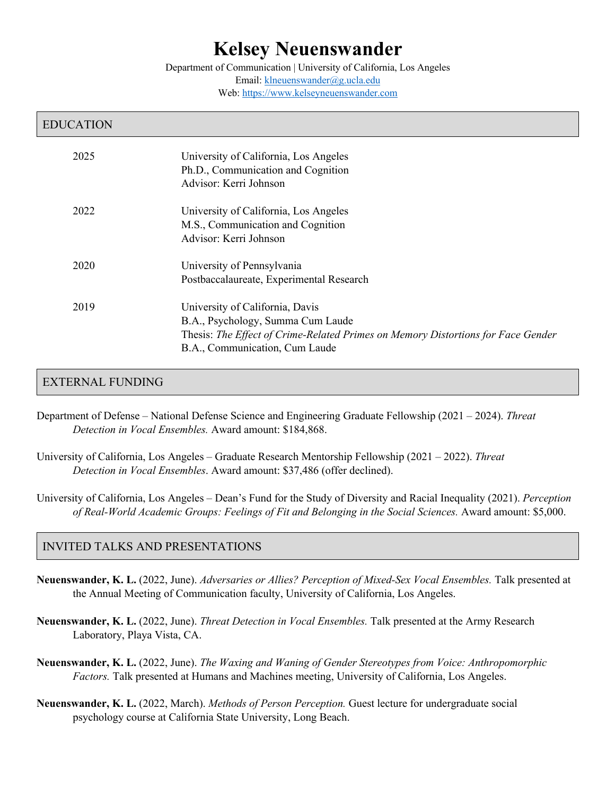# **Kelsey Neuenswander**

Department of Communication | University of California, Los Angeles Email: klneuenswander@g.ucla.edu Web: https://www.kelseyneuenswander.com

## EDUCATION

| 2025 | University of California, Los Angeles<br>Ph.D., Communication and Cognition<br>Advisor: Kerri Johnson                                                                                      |
|------|--------------------------------------------------------------------------------------------------------------------------------------------------------------------------------------------|
| 2022 | University of California, Los Angeles<br>M.S., Communication and Cognition<br>Advisor: Kerri Johnson                                                                                       |
| 2020 | University of Pennsylvania<br>Postbaccalaureate, Experimental Research                                                                                                                     |
| 2019 | University of California, Davis<br>B.A., Psychology, Summa Cum Laude<br>Thesis: The Effect of Crime-Related Primes on Memory Distortions for Face Gender<br>B.A., Communication, Cum Laude |

# EXTERNAL FUNDING

- Department of Defense National Defense Science and Engineering Graduate Fellowship (2021 2024). *Threat Detection in Vocal Ensembles.* Award amount: \$184,868.
- University of California, Los Angeles Graduate Research Mentorship Fellowship (2021 2022). *Threat Detection in Vocal Ensembles*. Award amount: \$37,486 (offer declined).
- University of California, Los Angeles Dean's Fund for the Study of Diversity and Racial Inequality (2021). *Perception of Real-World Academic Groups: Feelings of Fit and Belonging in the Social Sciences.* Award amount: \$5,000.

# INVITED TALKS AND PRESENTATIONS

- **Neuenswander, K. L.** (2022, June). *Adversaries or Allies? Perception of Mixed-Sex Vocal Ensembles.* Talk presented at the Annual Meeting of Communication faculty, University of California, Los Angeles.
- **Neuenswander, K. L.** (2022, June). *Threat Detection in Vocal Ensembles.* Talk presented at the Army Research Laboratory, Playa Vista, CA.
- **Neuenswander, K. L.** (2022, June). *The Waxing and Waning of Gender Stereotypes from Voice: Anthropomorphic Factors.* Talk presented at Humans and Machines meeting, University of California, Los Angeles.
- **Neuenswander, K. L.** (2022, March). *Methods of Person Perception.* Guest lecture for undergraduate social psychology course at California State University, Long Beach.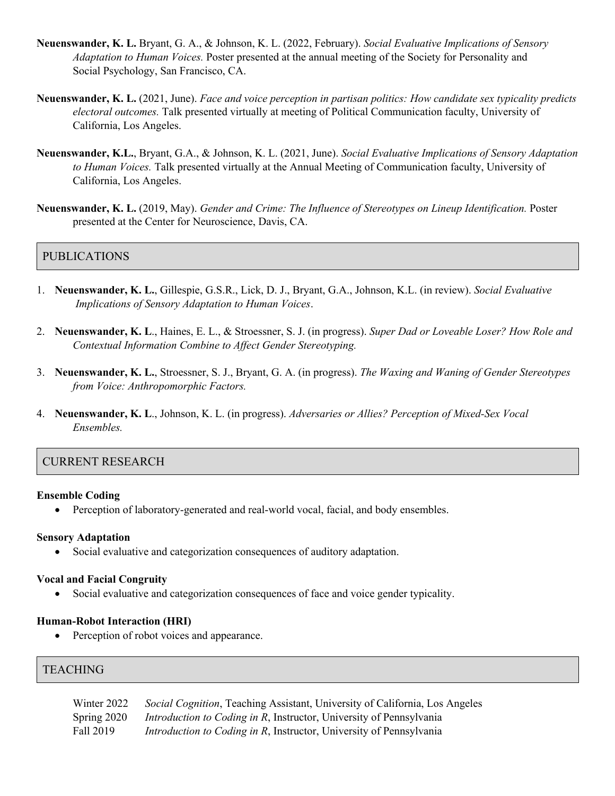- **Neuenswander, K. L.** Bryant, G. A., & Johnson, K. L. (2022, February). *Social Evaluative Implications of Sensory Adaptation to Human Voices.* Poster presented at the annual meeting of the Society for Personality and Social Psychology, San Francisco, CA.
- **Neuenswander, K. L.** (2021, June). *Face and voice perception in partisan politics: How candidate sex typicality predicts electoral outcomes.* Talk presented virtually at meeting of Political Communication faculty, University of California, Los Angeles.
- **Neuenswander, K.L.**, Bryant, G.A., & Johnson, K. L. (2021, June). *Social Evaluative Implications of Sensory Adaptation to Human Voices.* Talk presented virtually at the Annual Meeting of Communication faculty, University of California, Los Angeles.
- **Neuenswander, K. L.** (2019, May). *Gender and Crime: The Influence of Stereotypes on Lineup Identification.* Poster presented at the Center for Neuroscience, Davis, CA.

## PUBLICATIONS

- 1. **Neuenswander, K. L.**, Gillespie, G.S.R., Lick, D. J., Bryant, G.A., Johnson, K.L. (in review). *Social Evaluative Implications of Sensory Adaptation to Human Voices*.
- 2. **Neuenswander, K. L**., Haines, E. L., & Stroessner, S. J. (in progress). *Super Dad or Loveable Loser? How Role and Contextual Information Combine to Affect Gender Stereotyping.*
- 3. **Neuenswander, K. L.**, Stroessner, S. J., Bryant, G. A. (in progress). *The Waxing and Waning of Gender Stereotypes from Voice: Anthropomorphic Factors.*
- 4. **Neuenswander, K. L**., Johnson, K. L. (in progress). *Adversaries or Allies? Perception of Mixed-Sex Vocal Ensembles.*

## CURRENT RESEARCH

#### **Ensemble Coding**

• Perception of laboratory-generated and real-world vocal, facial, and body ensembles.

#### **Sensory Adaptation**

• Social evaluative and categorization consequences of auditory adaptation.

#### **Vocal and Facial Congruity**

• Social evaluative and categorization consequences of face and voice gender typicality.

#### **Human-Robot Interaction (HRI)**

• Perception of robot voices and appearance.

#### **TEACHING**

| Winter 2022   | Social Cognition, Teaching Assistant, University of California, Los Angeles |
|---------------|-----------------------------------------------------------------------------|
| Spring $2020$ | <i>Introduction to Coding in R, Instructor, University of Pennsylvania</i>  |
| Fall 2019     | <i>Introduction to Coding in R, Instructor, University of Pennsylvania</i>  |